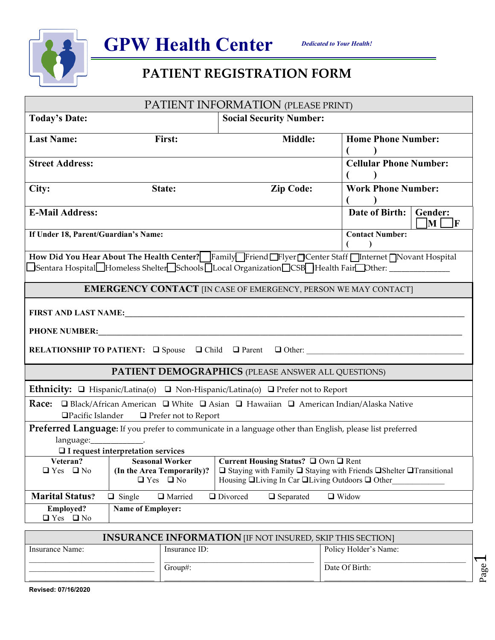



| PATIENT INFORMATION (PLEASE PRINT)                                                                                                                   |                                                                                                                                                                                                                                                                   |                                                                                                                                                                                                           |                                                          |  |  |  |
|------------------------------------------------------------------------------------------------------------------------------------------------------|-------------------------------------------------------------------------------------------------------------------------------------------------------------------------------------------------------------------------------------------------------------------|-----------------------------------------------------------------------------------------------------------------------------------------------------------------------------------------------------------|----------------------------------------------------------|--|--|--|
| <b>Today's Date:</b>                                                                                                                                 |                                                                                                                                                                                                                                                                   | <b>Social Security Number:</b>                                                                                                                                                                            |                                                          |  |  |  |
| <b>Last Name:</b>                                                                                                                                    | First:                                                                                                                                                                                                                                                            | Middle:                                                                                                                                                                                                   | <b>Home Phone Number:</b>                                |  |  |  |
| <b>Street Address:</b>                                                                                                                               |                                                                                                                                                                                                                                                                   |                                                                                                                                                                                                           | <b>Cellular Phone Number:</b>                            |  |  |  |
| City:                                                                                                                                                | State:                                                                                                                                                                                                                                                            | <b>Zip Code:</b>                                                                                                                                                                                          | <b>Work Phone Number:</b>                                |  |  |  |
| <b>E-Mail Address:</b>                                                                                                                               |                                                                                                                                                                                                                                                                   |                                                                                                                                                                                                           | Date of Birth:<br>Gender:<br>$\mathbf{M}$<br>$\mathbf F$ |  |  |  |
| If Under 18, Parent/Guardian's Name:                                                                                                                 |                                                                                                                                                                                                                                                                   |                                                                                                                                                                                                           | <b>Contact Number:</b>                                   |  |  |  |
|                                                                                                                                                      |                                                                                                                                                                                                                                                                   | How Did You Hear About The Health Center? Family Friend Flyer Center Staff Internet Novant Hospital<br>□Sentara Hospital□Homeless Shelter□Schools□Local Organization□CSB□Health Fair□Dther: _____________ |                                                          |  |  |  |
|                                                                                                                                                      |                                                                                                                                                                                                                                                                   | <b>EMERGENCY CONTACT</b> [IN CASE OF EMERGENCY, PERSON WE MAY CONTACT]                                                                                                                                    |                                                          |  |  |  |
|                                                                                                                                                      |                                                                                                                                                                                                                                                                   |                                                                                                                                                                                                           |                                                          |  |  |  |
| <b>PHONE NUMBER:</b>                                                                                                                                 |                                                                                                                                                                                                                                                                   |                                                                                                                                                                                                           |                                                          |  |  |  |
|                                                                                                                                                      | RELATIONSHIP TO PATIENT: $\Box$ Spouse $\Box$ Child $\Box$ Parent $\Box$ Other:                                                                                                                                                                                   |                                                                                                                                                                                                           |                                                          |  |  |  |
| <b>PATIENT DEMOGRAPHICS (PLEASE ANSWER ALL QUESTIONS)</b>                                                                                            |                                                                                                                                                                                                                                                                   |                                                                                                                                                                                                           |                                                          |  |  |  |
|                                                                                                                                                      |                                                                                                                                                                                                                                                                   | Ethnicity: □ Hispanic/Latina(o) □ Non-Hispanic/Latina(o) □ Prefer not to Report                                                                                                                           |                                                          |  |  |  |
| <b>Race:</b> □ Black/African American □ White □ Asian □ Hawaiian □ American Indian/Alaska Native<br>□Pacific Islander<br>$\Box$ Prefer not to Report |                                                                                                                                                                                                                                                                   |                                                                                                                                                                                                           |                                                          |  |  |  |
| Preferred Language: If you prefer to communicate in a language other than English, please list preferred<br>$\Box$ I request interpretation services |                                                                                                                                                                                                                                                                   |                                                                                                                                                                                                           |                                                          |  |  |  |
| Veteran?<br>$\Box$ Yes $\Box$ No                                                                                                                     | Current Housing Status? Q Own Q Rent<br><b>Seasonal Worker</b><br>(In the Area Temporarily)?<br>□ Staying with Family □ Staying with Friends □ Shelter □ Transitional<br>$\Box$ Yes $\Box$ No<br>Housing $\Box$ Living In Car $\Box$ Living Outdoors $\Box$ Other |                                                                                                                                                                                                           |                                                          |  |  |  |
| <b>Marital Status?</b>                                                                                                                               | $\Box$ Single<br>□ Married                                                                                                                                                                                                                                        | □ Divorced<br>$\Box$ Separated                                                                                                                                                                            | $\Box$ Widow                                             |  |  |  |
| <b>Employed?</b><br>$\Box$ Yes $\Box$ No                                                                                                             | <b>Name of Employer:</b>                                                                                                                                                                                                                                          |                                                                                                                                                                                                           |                                                          |  |  |  |

| <b>INSURANCE INFORMATION</b> [IF NOT INSURED, SKIP THIS SECTION] |               |                       |         |  |
|------------------------------------------------------------------|---------------|-----------------------|---------|--|
| Insurance Name:                                                  | Insurance ID: | Policy Holder's Name: |         |  |
|                                                                  | $Group\#$ :   | Date Of Birth:        | Φ<br>٥٥ |  |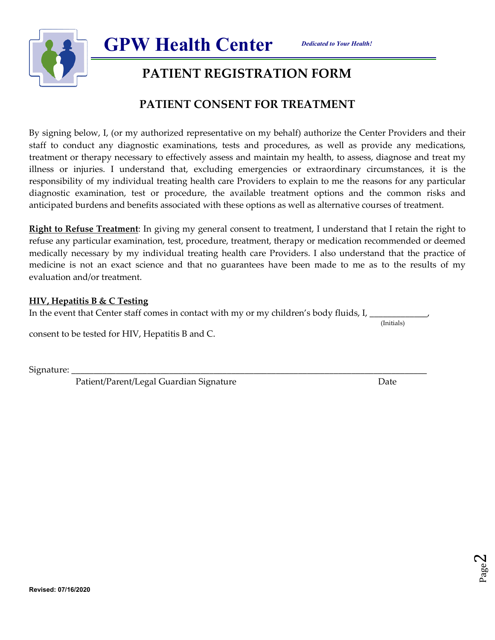



**GPW Health Center**  

## **PATIENT CONSENT FOR TREATMENT**

By signing below, I, (or my authorized representative on my behalf) authorize the Center Providers and their staff to conduct any diagnostic examinations, tests and procedures, as well as provide any medications, treatment or therapy necessary to effectively assess and maintain my health, to assess, diagnose and treat my illness or injuries. I understand that, excluding emergencies or extraordinary circumstances, it is the responsibility of my individual treating health care Providers to explain to me the reasons for any particular diagnostic examination, test or procedure, the available treatment options and the common risks and anticipated burdens and benefits associated with these options as well as alternative courses of treatment.

**Right to Refuse Treatment**: In giving my general consent to treatment, I understand that I retain the right to refuse any particular examination, test, procedure, treatment, therapy or medication recommended or deemed medically necessary by my individual treating health care Providers. I also understand that the practice of medicine is not an exact science and that no guarantees have been made to me as to the results of my evaluation and/or treatment.

#### **HIV, Hepatitis B & C Testing**

In the event that Center staff comes in contact with my or my children's body fluids, I,

(Initials)

consent to be tested for HIV, Hepatitis B and C.

Signature:

Patient/Parent/Legal Guardian Signature de annual de Date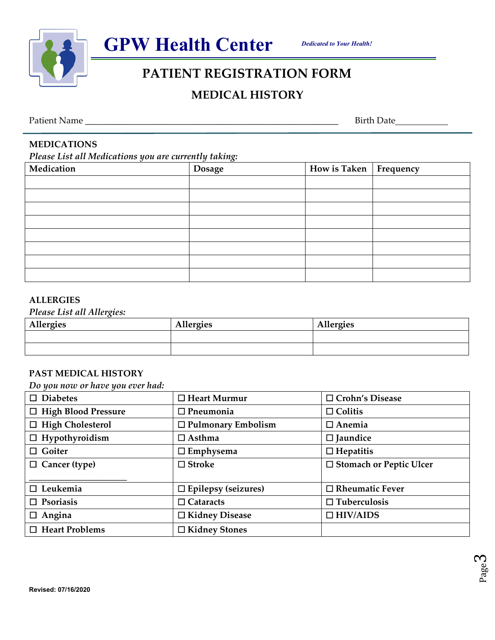



## **MEDICAL HISTORY**

Patient Name \_\_\_\_\_\_\_\_\_\_\_\_\_\_\_\_\_\_\_\_\_\_\_\_\_\_\_\_\_\_\_\_\_\_\_\_\_\_\_\_\_\_\_\_\_\_\_\_\_\_\_\_\_\_\_\_\_ Birth Date

Page ო

## **MEDICATIONS**

*Please List all Medications you are currently taking:* 

| Medication | <b>Dosage</b> | How is Taken Frequency |  |
|------------|---------------|------------------------|--|
|            |               |                        |  |
|            |               |                        |  |
|            |               |                        |  |
|            |               |                        |  |
|            |               |                        |  |
|            |               |                        |  |
|            |               |                        |  |
|            |               |                        |  |

### **ALLERGIES**

**Revised: 07/16/2020** 

#### *Please List all Allergies:*

| Allergies | <b>Allergies</b> | <b>Allergies</b> |
|-----------|------------------|------------------|
|           |                  |                  |
|           |                  |                  |

### **PAST MEDICAL HISTORY**

*Do you now or have you ever had:* 

| $\square$ Diabetes         | $\Box$ Heart Murmur        | □ Crohn's Disease              |
|----------------------------|----------------------------|--------------------------------|
| $\Box$ High Blood Pressure | $\square$ Pneumonia        | $\Box$ Colitis                 |
| $\Box$ High Cholesterol    | $\Box$ Pulmonary Embolism  | $\Box$ Anemia                  |
| $\Box$ Hypothyroidism      | $\Box$ Asthma              | $\square$ Jaundice             |
| $\Box$ Goiter              | $\square$ Emphysema        | $\Box$ Hepatitis               |
| $\Box$ Cancer (type)       | $\square$ Stroke           | $\Box$ Stomach or Peptic Ulcer |
| $\square$ Leukemia         | $\Box$ Epilepsy (seizures) | $\Box$ Rheumatic Fever         |
| $\Box$ Psoriasis           | $\Box$ Cataracts           | $\Box$ Tuberculosis            |
| $\Box$ Angina              | □ Kidney Disease           | $\Box$ HIV/AIDS                |
| $\Box$ Heart Problems      | □ Kidney Stones            |                                |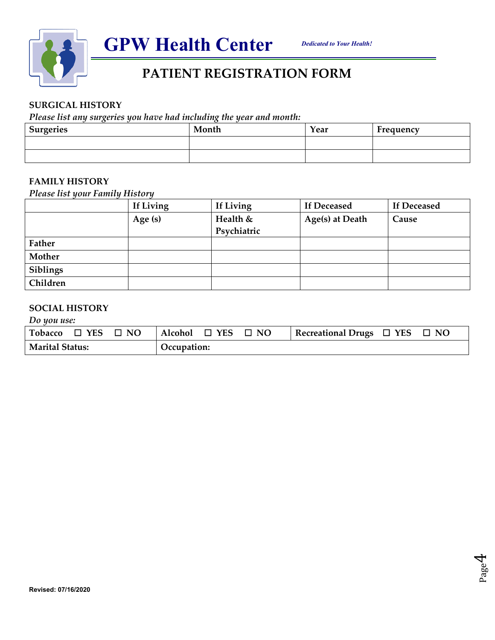



### **SURGICAL HISTORY**

*Please list any surgeries you have had including the year and month:* 

| <b>Surgeries</b> | Month | Year | Frequency |
|------------------|-------|------|-----------|
|                  |       |      |           |
|                  |       |      |           |

#### **FAMILY HISTORY**

*Please list your Family History* 

|               | If Living | If Living   | <b>If Deceased</b> | <b>If Deceased</b> |
|---------------|-----------|-------------|--------------------|--------------------|
|               | Age $(s)$ | Health &    | Age(s) at Death    | Cause              |
|               |           | Psychiatric |                    |                    |
| <b>Father</b> |           |             |                    |                    |
| Mother        |           |             |                    |                    |
| Siblings      |           |             |                    |                    |
| Children      |           |             |                    |                    |

### **SOCIAL HISTORY**

*Do you use:* 

| Tobacco $\Box$ YES $\Box$ NO   Alcohol $\Box$ YES $\Box$ NO |  |             |  |  | Recreational Drugs $\Box$ YES $\Box$ NO |  |
|-------------------------------------------------------------|--|-------------|--|--|-----------------------------------------|--|
| <b>Marital Status:</b>                                      |  | Occupation: |  |  |                                         |  |

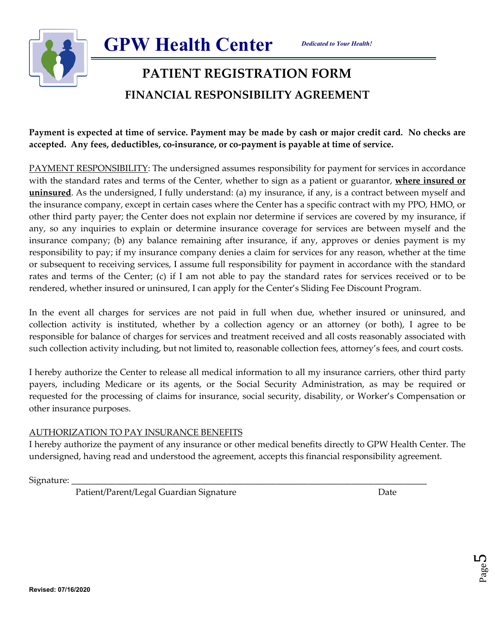

# **PATIENT REGISTRATION FORM FINANCIAL RESPONSIBILITY AGREEMENT**

**Payment is expected at time of service. Payment may be made by cash or major credit card. No checks are accepted. Any fees, deductibles, co-insurance, or co-payment is payable at time of service.** 

PAYMENT RESPONSIBILITY: The undersigned assumes responsibility for payment for services in accordance with the standard rates and terms of the Center, whether to sign as a patient or guarantor, **where insured or uninsured**. As the undersigned, I fully understand: (a) my insurance, if any, is a contract between myself and the insurance company, except in certain cases where the Center has a specific contract with my PPO, HMO, or other third party payer; the Center does not explain nor determine if services are covered by my insurance, if any, so any inquiries to explain or determine insurance coverage for services are between myself and the insurance company; (b) any balance remaining after insurance, if any, approves or denies payment is my responsibility to pay; if my insurance company denies a claim for services for any reason, whether at the time or subsequent to receiving services, I assume full responsibility for payment in accordance with the standard rates and terms of the Center; (c) if I am not able to pay the standard rates for services received or to be rendered, whether insured or uninsured, I can apply for the Center's Sliding Fee Discount Program.

In the event all charges for services are not paid in full when due, whether insured or uninsured, and collection activity is instituted, whether by a collection agency or an attorney (or both), I agree to be responsible for balance of charges for services and treatment received and all costs reasonably associated with such collection activity including, but not limited to, reasonable collection fees, attorney's fees, and court costs.

I hereby authorize the Center to release all medical information to all my insurance carriers, other third party payers, including Medicare or its agents, or the Social Security Administration, as may be required or requested for the processing of claims for insurance, social security, disability, or Worker's Compensation or other insurance purposes.

## AUTHORIZATION TO PAY INSURANCE BENEFITS

I hereby authorize the payment of any insurance or other medical benefits directly to GPW Health Center. The undersigned, having read and understood the agreement, accepts this financial responsibility agreement.

Signature:

Patient/Parent/Legal Guardian Signature data and the Date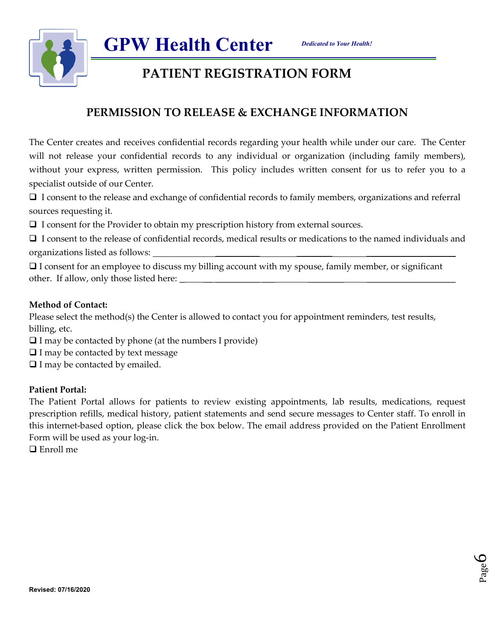

# **PATIENT REGISTRATION FORM**

## **PERMISSION TO RELEASE & EXCHANGE INFORMATION**

The Center creates and receives confidential records regarding your health while under our care. The Center will not release your confidential records to any individual or organization (including family members), without your express, written permission. This policy includes written consent for us to refer you to a specialist outside of our Center.

 I consent to the release and exchange of confidential records to family members, organizations and referral sources requesting it.

 $\Box$  I consent for the Provider to obtain my prescription history from external sources.

**GPW Health Center**  

 I consent to the release of confidential records, medical results or medications to the named individuals and organizations listed as follows:

 I consent for an employee to discuss my billing account with my spouse, family member, or significant other. If allow, only those listed here:  $\frac{1}{\sqrt{1-\frac{1}{n}}}$ 

### **Method of Contact:**

Please select the method(s) the Center is allowed to contact you for appointment reminders, test results, billing, etc.

- $\Box$  I may be contacted by phone (at the numbers I provide)
- $\Box$  I may be contacted by text message
- $\Box$  I may be contacted by emailed.

### **Patient Portal:**

The Patient Portal allows for patients to review existing appointments, lab results, medications, request prescription refills, medical history, patient statements and send secure messages to Center staff. To enroll in this internet-based option, please click the box below. The email address provided on the Patient Enrollment Form will be used as your log-in.

**□** Enroll me